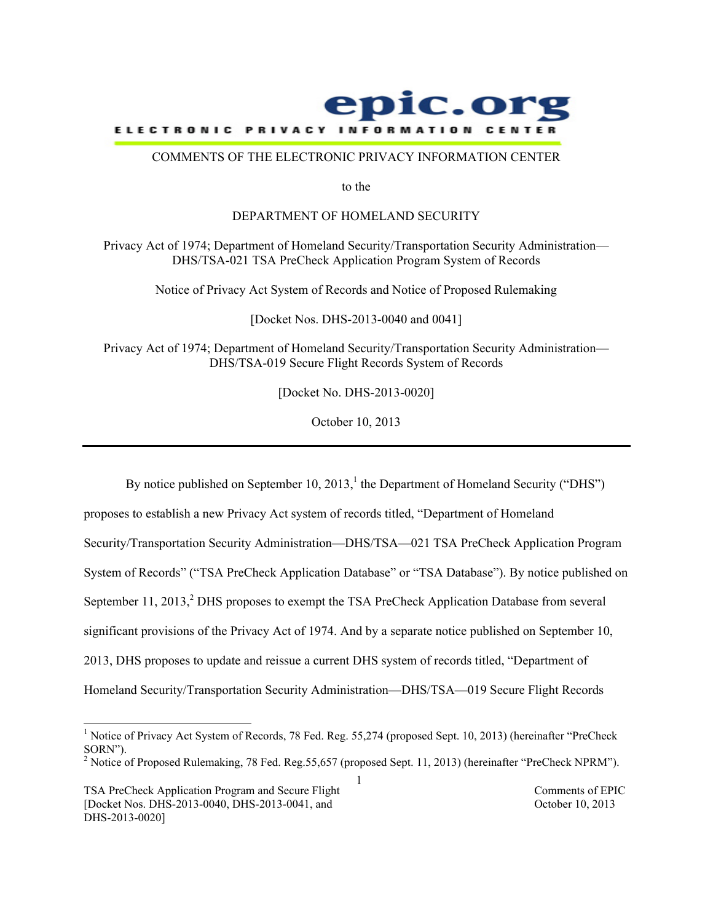

#### COMMENTS OF THE ELECTRONIC PRIVACY INFORMATION CENTER

to the

#### DEPARTMENT OF HOMELAND SECURITY

Privacy Act of 1974; Department of Homeland Security/Transportation Security Administration— DHS/TSA-021 TSA PreCheck Application Program System of Records

Notice of Privacy Act System of Records and Notice of Proposed Rulemaking

[Docket Nos. DHS-2013-0040 and 0041]

Privacy Act of 1974; Department of Homeland Security/Transportation Security Administration— DHS/TSA-019 Secure Flight Records System of Records

[Docket No. DHS-2013-0020]

October 10, 2013

By notice published on September 10, 2013,  $\frac{1}{1}$  the Department of Homeland Security ("DHS")

proposes to establish a new Privacy Act system of records titled, "Department of Homeland Security/Transportation Security Administration—DHS/TSA—021 TSA PreCheck Application Program System of Records" ("TSA PreCheck Application Database" or "TSA Database"). By notice published on September  $11, 2013, 2$  DHS proposes to exempt the TSA PreCheck Application Database from several significant provisions of the Privacy Act of 1974. And by a separate notice published on September 10, 2013, DHS proposes to update and reissue a current DHS system of records titled, "Department of Homeland Security/Transportation Security Administration—DHS/TSA—019 Secure Flight Records

TSA PreCheck Application Program and Secure Flight Comments of EPIC [Docket Nos. DHS-2013-0040, DHS-2013-0041, and October 10, 2013 DHS-2013-0020]

 $\frac{1}{1}$ <sup>1</sup> Notice of Privacy Act System of Records, 78 Fed. Reg. 55,274 (proposed Sept. 10, 2013) (hereinafter "PreCheck SORN").

<sup>1</sup> <sup>2</sup> Notice of Proposed Rulemaking, 78 Fed. Reg. 55, 657 (proposed Sept. 11, 2013) (hereinafter "PreCheck NPRM").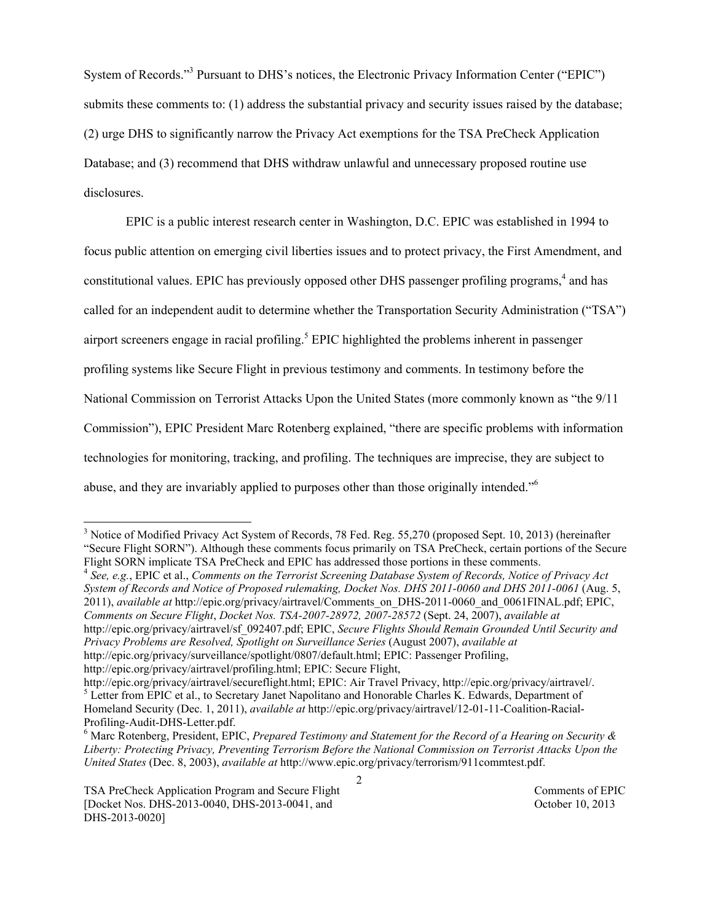System of Records."3 Pursuant to DHS's notices, the Electronic Privacy Information Center ("EPIC") submits these comments to: (1) address the substantial privacy and security issues raised by the database; (2) urge DHS to significantly narrow the Privacy Act exemptions for the TSA PreCheck Application Database; and (3) recommend that DHS withdraw unlawful and unnecessary proposed routine use disclosures.

EPIC is a public interest research center in Washington, D.C. EPIC was established in 1994 to focus public attention on emerging civil liberties issues and to protect privacy, the First Amendment, and constitutional values. EPIC has previously opposed other DHS passenger profiling programs,<sup>4</sup> and has called for an independent audit to determine whether the Transportation Security Administration ("TSA") airport screeners engage in racial profiling.<sup>5</sup> EPIC highlighted the problems inherent in passenger profiling systems like Secure Flight in previous testimony and comments. In testimony before the National Commission on Terrorist Attacks Upon the United States (more commonly known as "the 9/11 Commission"), EPIC President Marc Rotenberg explained, "there are specific problems with information technologies for monitoring, tracking, and profiling. The techniques are imprecise, they are subject to abuse, and they are invariably applied to purposes other than those originally intended."6

Flight SORN implicate TSA PreCheck and EPIC has addressed those portions in these comments. <sup>4</sup> *See, e.g.*, EPIC et al., *Comments on the Terrorist Screening Database System of Records, Notice of Privacy Act System of Records and Notice of Proposed rulemaking, Docket Nos. DHS 2011-0060 and DHS 2011-0061* (Aug. 5, 2011), *available at* http://epic.org/privacy/airtravel/Comments\_on\_DHS-2011-0060\_and\_0061FINAL.pdf; EPIC, *Comments on Secure Flight*, *Docket Nos. TSA-2007-28972, 2007-28572* (Sept. 24, 2007), *available at* http://epic.org/privacy/airtravel/sf\_092407.pdf; EPIC, *Secure Flights Should Remain Grounded Until Security and Privacy Problems are Resolved, Spotlight on Surveillance Series* (August 2007), *available at* http://epic.org/privacy/surveillance/spotlight/0807/default.html; EPIC: Passenger Profiling, http://epic.org/privacy/airtravel/profiling.html; EPIC: Secure Flight,

<sup>&</sup>lt;sup>2</sup><br>3 <sup>3</sup> Notice of Modified Privacy Act System of Records, 78 Fed. Reg. 55,270 (proposed Sept. 10, 2013) (hereinafter "Secure Flight SORN"). Although these comments focus primarily on TSA PreCheck, certain portions of the Secure

http://epic.org/privacy/airtravel/secureflight.html; EPIC: Air Travel Privacy, http://epic.org/privacy/airtravel/. <sup>5</sup> Letter from EPIC et al., to Secretary Janet Napolitano and Honorable Charles K. Edwards, Department of Homeland Security (Dec. 1, 2011), *available at* http://epic.org/privacy/airtravel/12-01-11-Coalition-Racial-Profiling-Audit-DHS-Letter.pdf. <sup>6</sup>

Marc Rotenberg, President, EPIC, *Prepared Testimony and Statement for the Record of a Hearing on Security & Liberty: Protecting Privacy, Preventing Terrorism Before the National Commission on Terrorist Attacks Upon the United States* (Dec. 8, 2003), *available at* http://www.epic.org/privacy/terrorism/911commtest.pdf.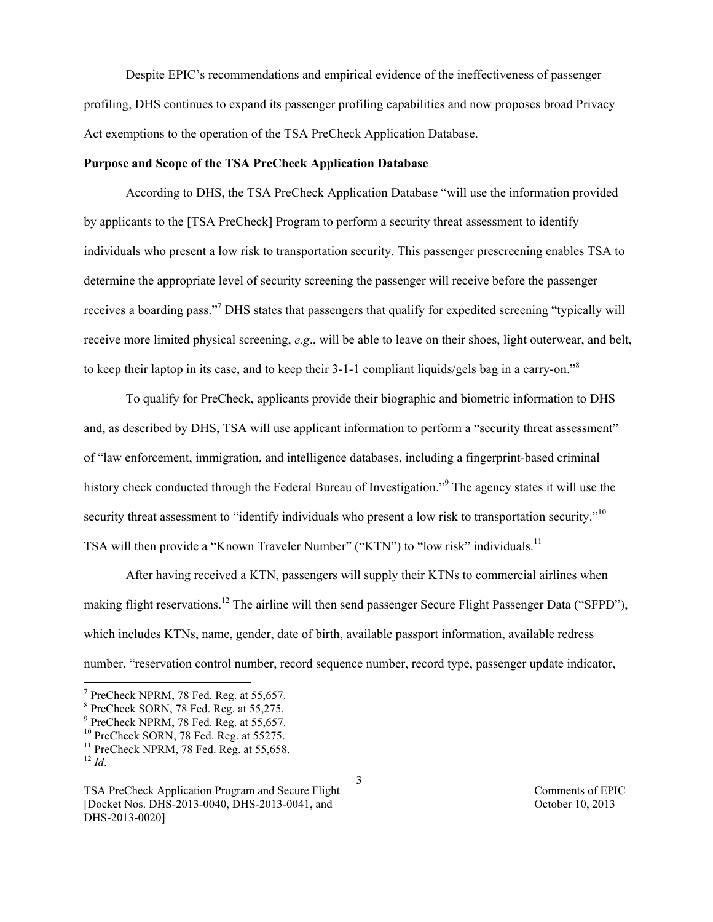Despite EPIC's recommendations and empirical evidence of the ineffectiveness of passenger profiling, DHS continues to expand its passenger profiling capabilities and now proposes broad Privacy Act exemptions to the operation of the TSA PreCheck Application Database.

### **Purpose and Scope of the TSA PreCheck Application Database**

According to DHS, the TSA PreCheck Application Database "will use the information provided by applicants to the [TSA PreCheck] Program to perform a security threat assessment to identify individuals who present a low risk to transportation security. This passenger prescreening enables TSA to determine the appropriate level of security screening the passenger will receive before the passenger receives a boarding pass."<sup>7</sup> DHS states that passengers that qualify for expedited screening "typically will receive more limited physical screening, *e.g*., will be able to leave on their shoes, light outerwear, and belt, to keep their laptop in its case, and to keep their 3-1-1 compliant liquids/gels bag in a carry-on."<sup>8</sup>

To qualify for PreCheck, applicants provide their biographic and biometric information to DHS and, as described by DHS, TSA will use applicant information to perform a "security threat assessment" of "law enforcement, immigration, and intelligence databases, including a fingerprint-based criminal history check conducted through the Federal Bureau of Investigation."<sup>9</sup> The agency states it will use the security threat assessment to "identify individuals who present a low risk to transportation security."<sup>10</sup> TSA will then provide a "Known Traveler Number" ("KTN") to "low risk" individuals.<sup>11</sup>

After having received a KTN, passengers will supply their KTNs to commercial airlines when making flight reservations.<sup>12</sup> The airline will then send passenger Secure Flight Passenger Data ("SFPD"), which includes KTNs, name, gender, date of birth, available passport information, available redress number, "reservation control number, record sequence number, record type, passenger update indicator,

<sup>-&</sup>lt;br>7  $7$  PreCheck NPRM, 78 Fed. Reg. at 55,657.

<sup>8</sup> PreCheck SORN, 78 Fed. Reg. at 55,275.

<sup>&</sup>lt;sup>9</sup> PreCheck NPRM, 78 Fed. Reg. at 55,657.

 $10$  PreCheck SORN, 78 Fed. Reg. at 55275.

 $11$  PreCheck NPRM, 78 Fed. Reg. at 55,658.  $^{12}$  *Id.* 

TSA PreCheck Application Program and Secure Flight Comments of EPIC [Docket Nos. DHS-2013-0040, DHS-2013-0041, and October 10, 2013 DHS-2013-0020]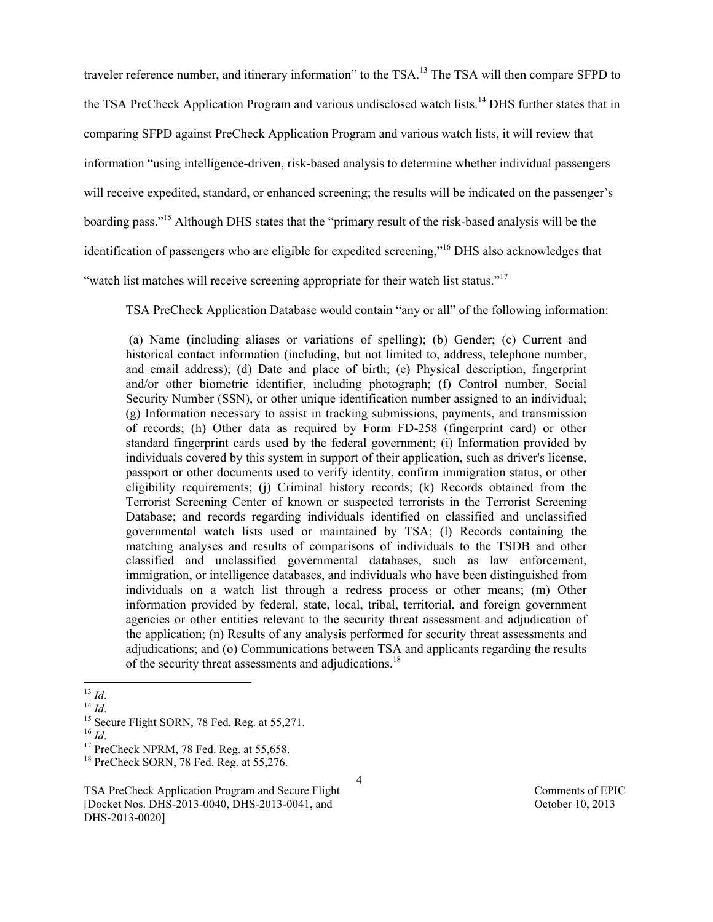traveler reference number, and itinerary information" to the TSA.<sup>13</sup> The TSA will then compare SFPD to the TSA PreCheck Application Program and various undisclosed watch lists.<sup>14</sup> DHS further states that in comparing SFPD against PreCheck Application Program and various watch lists, it will review that information "using intelligence-driven, risk-based analysis to determine whether individual passengers will receive expedited, standard, or enhanced screening; the results will be indicated on the passenger's boarding pass."15 Although DHS states that the "primary result of the risk-based analysis will be the identification of passengers who are eligible for expedited screening,"16 DHS also acknowledges that

"watch list matches will receive screening appropriate for their watch list status."<sup>17</sup>

TSA PreCheck Application Database would contain "any or all" of the following information:

(a) Name (including aliases or variations of spelling); (b) Gender; (c) Current and historical contact information (including, but not limited to, address, telephone number, and email address); (d) Date and place of birth; (e) Physical description, fingerprint and/or other biometric identifier, including photograph; (f) Control number, Social Security Number (SSN), or other unique identification number assigned to an individual; (g) Information necessary to assist in tracking submissions, payments, and transmission of records; (h) Other data as required by Form FD-258 (fingerprint card) or other standard fingerprint cards used by the federal government; (i) Information provided by individuals covered by this system in support of their application, such as driver's license, passport or other documents used to verify identity, confirm immigration status, or other eligibility requirements; (j) Criminal history records; (k) Records obtained from the Terrorist Screening Center of known or suspected terrorists in the Terrorist Screening Database; and records regarding individuals identified on classified and unclassified governmental watch lists used or maintained by TSA; (l) Records containing the matching analyses and results of comparisons of individuals to the TSDB and other classified and unclassified governmental databases, such as law enforcement, immigration, or intelligence databases, and individuals who have been distinguished from individuals on a watch list through a redress process or other means; (m) Other information provided by federal, state, local, tribal, territorial, and foreign government agencies or other entities relevant to the security threat assessment and adjudication of the application; (n) Results of any analysis performed for security threat assessments and adjudications; and (o) Communications between TSA and applicants regarding the results of the security threat assessments and adjudications.<sup>18</sup>

<sup>&</sup>lt;sup>13</sup> *Id.* <sup>14</sup> *Id.* <sup>14</sup> *Id.* <sup>15</sup> Secure Flight SORN, 78 Fed. Reg. at 55,271. <sup>16</sup> *Id* 

<sup>&</sup>lt;sup>17</sup> PreCheck NPRM, 78 Fed. Reg. at 55,658.

<sup>&</sup>lt;sup>18</sup> PreCheck SORN, 78 Fed. Reg. at 55,276.

TSA PreCheck Application Program and Secure Flight Comments of EPIC [Docket Nos. DHS-2013-0040, DHS-2013-0041, and October 10, 2013 DHS-2013-0020]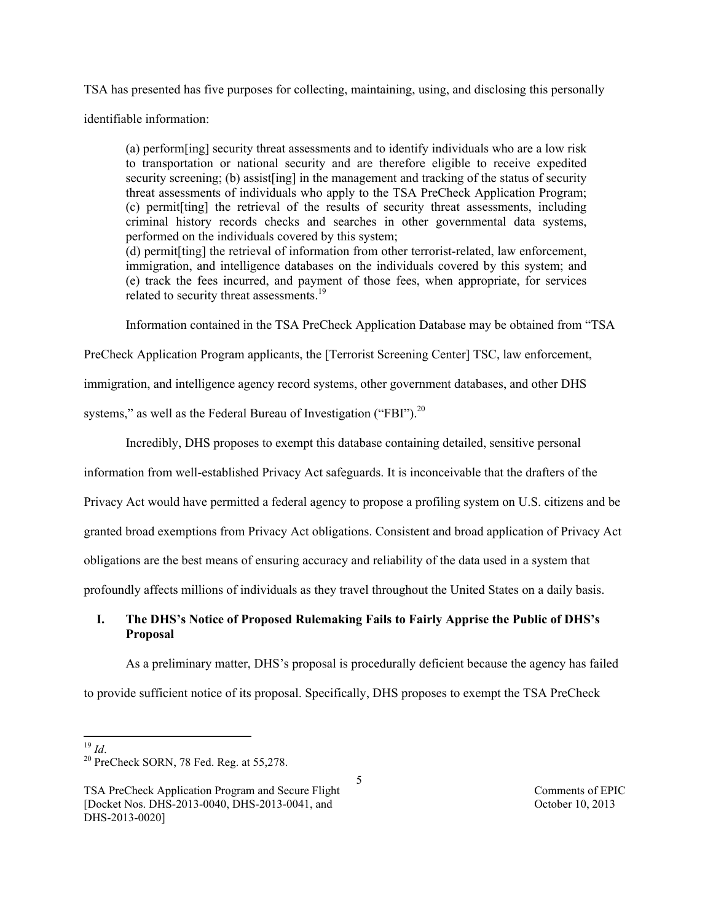TSA has presented has five purposes for collecting, maintaining, using, and disclosing this personally

identifiable information:

(a) perform[ing] security threat assessments and to identify individuals who are a low risk to transportation or national security and are therefore eligible to receive expedited security screening; (b) assist [ing] in the management and tracking of the status of security threat assessments of individuals who apply to the TSA PreCheck Application Program; (c) permit[ting] the retrieval of the results of security threat assessments, including criminal history records checks and searches in other governmental data systems, performed on the individuals covered by this system;

(d) permit[ting] the retrieval of information from other terrorist-related, law enforcement, immigration, and intelligence databases on the individuals covered by this system; and (e) track the fees incurred, and payment of those fees, when appropriate, for services related to security threat assessments.<sup>19</sup>

Information contained in the TSA PreCheck Application Database may be obtained from "TSA

PreCheck Application Program applicants, the [Terrorist Screening Center] TSC, law enforcement,

immigration, and intelligence agency record systems, other government databases, and other DHS

systems," as well as the Federal Bureau of Investigation ("FBI").<sup>20</sup>

Incredibly, DHS proposes to exempt this database containing detailed, sensitive personal

information from well-established Privacy Act safeguards. It is inconceivable that the drafters of the

Privacy Act would have permitted a federal agency to propose a profiling system on U.S. citizens and be

granted broad exemptions from Privacy Act obligations. Consistent and broad application of Privacy Act

obligations are the best means of ensuring accuracy and reliability of the data used in a system that

profoundly affects millions of individuals as they travel throughout the United States on a daily basis.

# **I. The DHS's Notice of Proposed Rulemaking Fails to Fairly Apprise the Public of DHS's Proposal**

As a preliminary matter, DHS's proposal is procedurally deficient because the agency has failed

to provide sufficient notice of its proposal. Specifically, DHS proposes to exempt the TSA PreCheck

<sup>&</sup>lt;sup>19</sup> *Id*. **20** PreCheck SORN, 78 Fed. Reg. at 55,278.

TSA PreCheck Application Program and Secure Flight Comments of EPIC [Docket Nos. DHS-2013-0040, DHS-2013-0041, and October 10, 2013 DHS-2013-0020]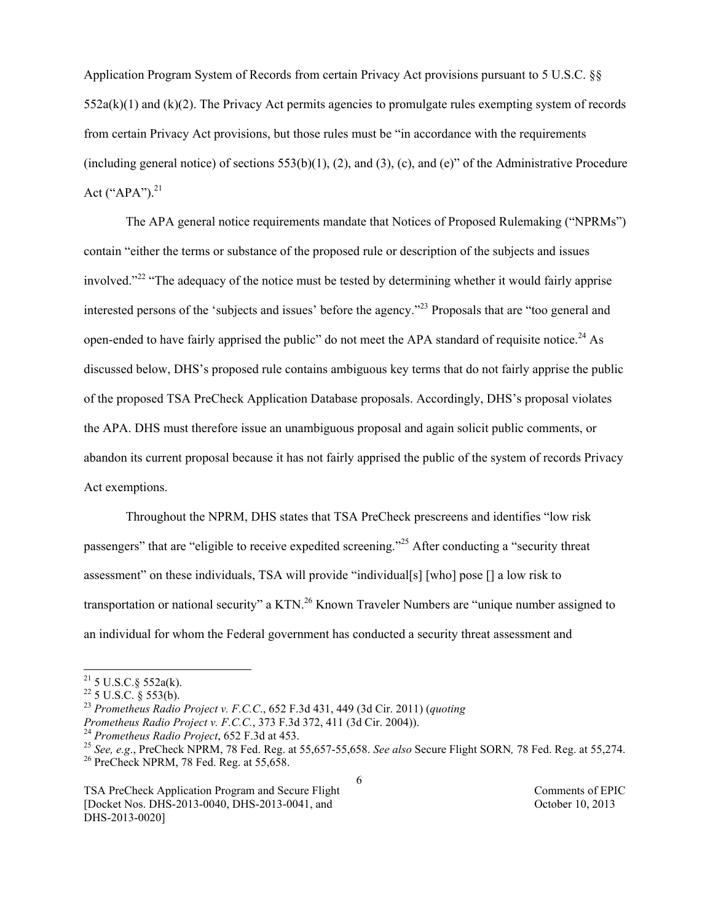Application Program System of Records from certain Privacy Act provisions pursuant to 5 U.S.C. §§  $552a(k)(1)$  and  $(k)(2)$ . The Privacy Act permits agencies to promulgate rules exempting system of records from certain Privacy Act provisions, but those rules must be "in accordance with the requirements (including general notice) of sections  $553(b)(1)$ , (2), and (3), (c), and (e)" of the Administrative Procedure Act ("APA"). $^{21}$ 

The APA general notice requirements mandate that Notices of Proposed Rulemaking ("NPRMs") contain "either the terms or substance of the proposed rule or description of the subjects and issues involved."<sup>22</sup> "The adequacy of the notice must be tested by determining whether it would fairly apprise interested persons of the 'subjects and issues' before the agency."<sup>23</sup> Proposals that are "too general and open-ended to have fairly apprised the public" do not meet the APA standard of requisite notice.<sup>24</sup> As discussed below, DHS's proposed rule contains ambiguous key terms that do not fairly apprise the public of the proposed TSA PreCheck Application Database proposals. Accordingly, DHS's proposal violates the APA. DHS must therefore issue an unambiguous proposal and again solicit public comments, or abandon its current proposal because it has not fairly apprised the public of the system of records Privacy Act exemptions.

Throughout the NPRM, DHS states that TSA PreCheck prescreens and identifies "low risk passengers" that are "eligible to receive expedited screening."25 After conducting a "security threat assessment" on these individuals, TSA will provide "individual[s] [who] pose [] a low risk to transportation or national security" a KTN.<sup>26</sup> Known Traveler Numbers are "unique number assigned to an individual for whom the Federal government has conducted a security threat assessment and

<sup>23</sup> *Prometheus Radio Project v. F.C.C*., 652 F.3d 431, 449 (3d Cir. 2011) (*quoting* 

TSA PreCheck Application Program and Secure Flight Comments of EPIC [Docket Nos. DHS-2013-0040, DHS-2013-0041, and October 10, 2013 DHS-2013-0020]

 $21$  5 U.S.C. § 552a(k).

 $^{22}$  5 U.S.C. § 553(b).

Prometheus Radio Project v. F.C.C., 373 F.3d 372, 411 (3d Cir. 2004)).<br><sup>24</sup> Prometheus Radio Project, 652 F.3d at 453.<br><sup>25</sup> See, e.g., PreCheck NPRM, 78 Fed. Reg. at 55,657-55,658. See also Secure Flight SORN, 78 Fed. Reg.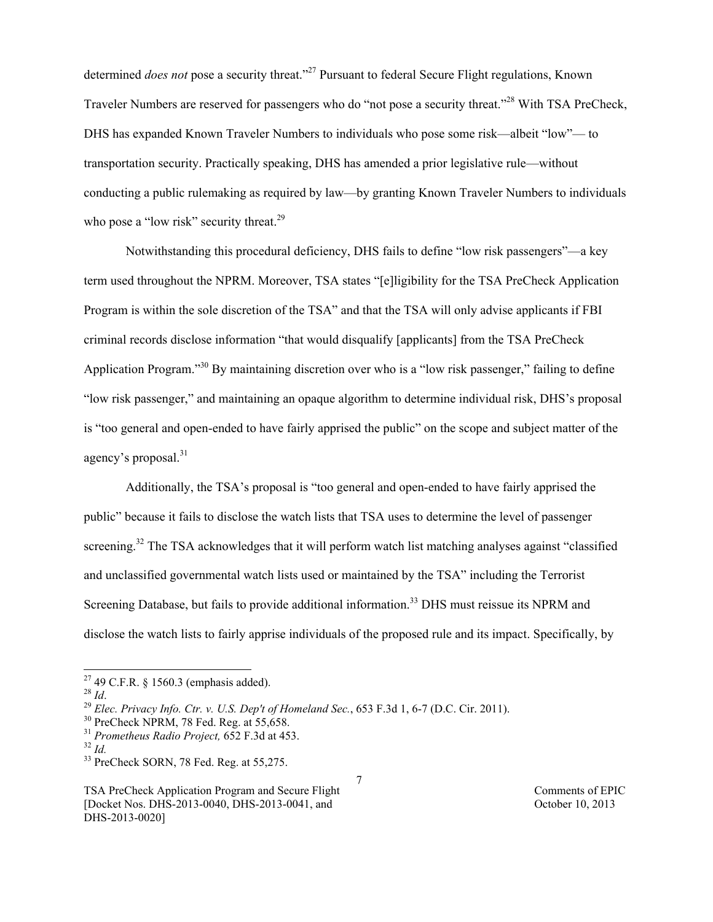determined *does not* pose a security threat."<sup>27</sup> Pursuant to federal Secure Flight regulations, Known Traveler Numbers are reserved for passengers who do "not pose a security threat."<sup>28</sup> With TSA PreCheck, DHS has expanded Known Traveler Numbers to individuals who pose some risk—albeit "low"— to transportation security. Practically speaking, DHS has amended a prior legislative rule—without conducting a public rulemaking as required by law—by granting Known Traveler Numbers to individuals who pose a "low risk" security threat.<sup>29</sup>

Notwithstanding this procedural deficiency, DHS fails to define "low risk passengers"—a key term used throughout the NPRM. Moreover, TSA states "[e]ligibility for the TSA PreCheck Application Program is within the sole discretion of the TSA" and that the TSA will only advise applicants if FBI criminal records disclose information "that would disqualify [applicants] from the TSA PreCheck Application Program."30 By maintaining discretion over who is a "low risk passenger," failing to define "low risk passenger," and maintaining an opaque algorithm to determine individual risk, DHS's proposal is "too general and open-ended to have fairly apprised the public" on the scope and subject matter of the agency's proposal.<sup>31</sup>

Additionally, the TSA's proposal is "too general and open-ended to have fairly apprised the public" because it fails to disclose the watch lists that TSA uses to determine the level of passenger screening.<sup>32</sup> The TSA acknowledges that it will perform watch list matching analyses against "classified and unclassified governmental watch lists used or maintained by the TSA" including the Terrorist Screening Database, but fails to provide additional information.<sup>33</sup> DHS must reissue its NPRM and disclose the watch lists to fairly apprise individuals of the proposed rule and its impact. Specifically, by

<sup>&</sup>lt;sup>27</sup> 49 C.F.R. § 1560.3 (emphasis added).<br><sup>28</sup> *Id* 

<sup>&</sup>lt;sup>29</sup> *Elec. Privacy Info. Ctr. v. U.S. Dep't of Homeland Sec.*, 653 F.3d 1, 6-7 (D.C. Cir. 2011).<br><sup>30</sup> PreCheck NPRM, 78 Fed. Reg. at 55,658.

<sup>&</sup>lt;sup>31</sup> *Prometheus Radio Project,* 652 F.3d at 453.<br><sup>32</sup> *Id.* 33 PreCheck SORN, 78 Fed. Reg. at 55,275.

TSA PreCheck Application Program and Secure Flight Comments of EPIC [Docket Nos. DHS-2013-0040, DHS-2013-0041, and October 10, 2013 DHS-2013-0020]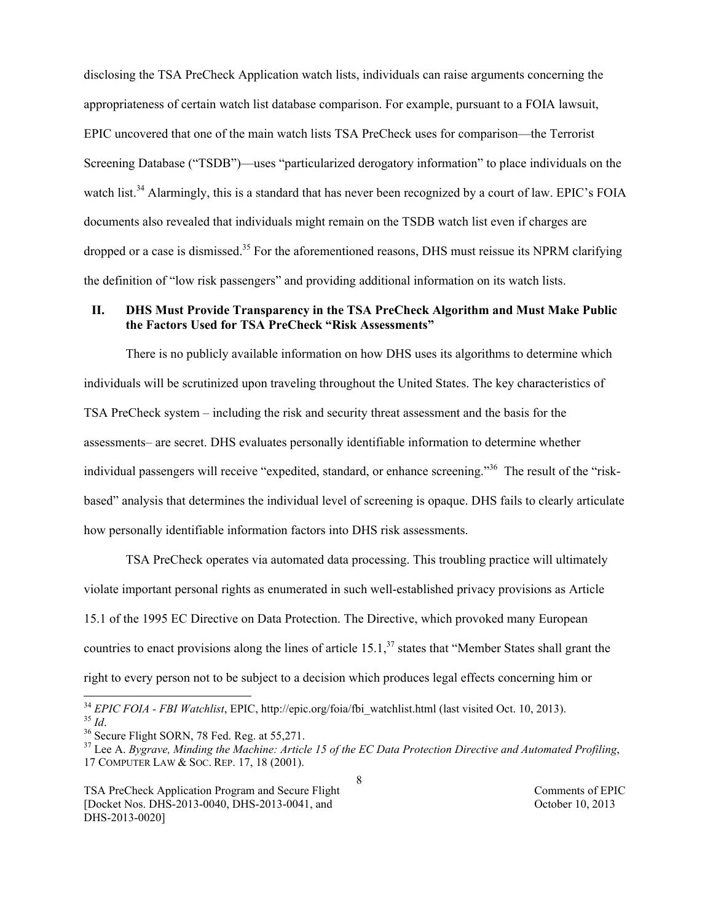disclosing the TSA PreCheck Application watch lists, individuals can raise arguments concerning the appropriateness of certain watch list database comparison. For example, pursuant to a FOIA lawsuit, EPIC uncovered that one of the main watch lists TSA PreCheck uses for comparison—the Terrorist Screening Database ("TSDB")—uses "particularized derogatory information" to place individuals on the watch list.<sup>34</sup> Alarmingly, this is a standard that has never been recognized by a court of law. EPIC's FOIA documents also revealed that individuals might remain on the TSDB watch list even if charges are dropped or a case is dismissed.<sup>35</sup> For the aforementioned reasons, DHS must reissue its NPRM clarifying the definition of "low risk passengers" and providing additional information on its watch lists.

### **II. DHS Must Provide Transparency in the TSA PreCheck Algorithm and Must Make Public the Factors Used for TSA PreCheck "Risk Assessments"**

There is no publicly available information on how DHS uses its algorithms to determine which individuals will be scrutinized upon traveling throughout the United States. The key characteristics of TSA PreCheck system – including the risk and security threat assessment and the basis for the assessments– are secret. DHS evaluates personally identifiable information to determine whether individual passengers will receive "expedited, standard, or enhance screening."<sup>36</sup> The result of the "riskbased" analysis that determines the individual level of screening is opaque. DHS fails to clearly articulate how personally identifiable information factors into DHS risk assessments.

TSA PreCheck operates via automated data processing. This troubling practice will ultimately violate important personal rights as enumerated in such well-established privacy provisions as Article 15.1 of the 1995 EC Directive on Data Protection. The Directive, which provoked many European countries to enact provisions along the lines of article  $15.1$ ,  $37$  states that "Member States shall grant the right to every person not to be subject to a decision which produces legal effects concerning him or

<sup>&</sup>lt;sup>34</sup> *EPIC FOIA - FBI Watchlist*, EPIC, http://epic.org/foia/fbi\_watchlist.html (last visited Oct. 10, 2013).<br><sup>35</sup> *Id.*<br><sup>36</sup> Secure Flight SORN, 78 Fed. Reg. at 55,271.<br><sup>37</sup> Lee A. *Bygrave, Minding the Machine: Article* 

<sup>17</sup> COMPUTER LAW & SOC. REP. 17, 18 (2001).

TSA PreCheck Application Program and Secure Flight Comments of EPIC [Docket Nos. DHS-2013-0040, DHS-2013-0041, and October 10, 2013 DHS-2013-0020]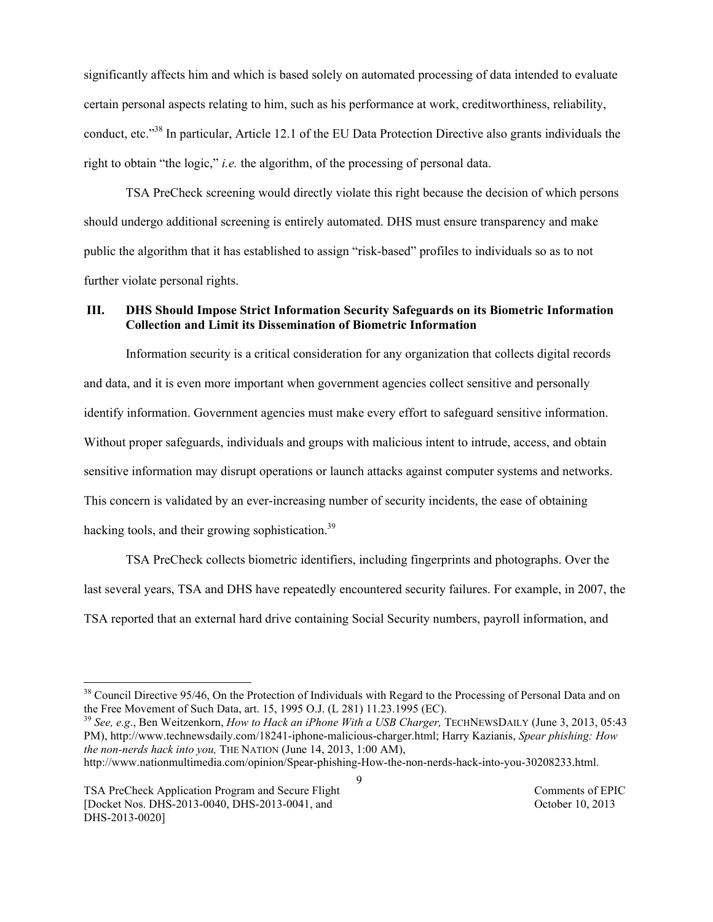significantly affects him and which is based solely on automated processing of data intended to evaluate certain personal aspects relating to him, such as his performance at work, creditworthiness, reliability, conduct, etc." 38 In particular, Article 12.1 of the EU Data Protection Directive also grants individuals the right to obtain "the logic," *i.e.* the algorithm, of the processing of personal data.

TSA PreCheck screening would directly violate this right because the decision of which persons should undergo additional screening is entirely automated. DHS must ensure transparency and make public the algorithm that it has established to assign "risk-based" profiles to individuals so as to not further violate personal rights.

## **III. DHS Should Impose Strict Information Security Safeguards on its Biometric Information Collection and Limit its Dissemination of Biometric Information**

Information security is a critical consideration for any organization that collects digital records and data, and it is even more important when government agencies collect sensitive and personally identify information. Government agencies must make every effort to safeguard sensitive information. Without proper safeguards, individuals and groups with malicious intent to intrude, access, and obtain sensitive information may disrupt operations or launch attacks against computer systems and networks. This concern is validated by an ever-increasing number of security incidents, the ease of obtaining hacking tools, and their growing sophistication.<sup>39</sup>

TSA PreCheck collects biometric identifiers, including fingerprints and photographs. Over the last several years, TSA and DHS have repeatedly encountered security failures. For example, in 2007, the TSA reported that an external hard drive containing Social Security numbers, payroll information, and

<sup>39</sup> See, e.g., Ben Weitzenkorn, *How to Hack an iPhone With a USB Charger*, TECHNEWSDAILY (June 3, 2013, 05:43 PM), http://www.technewsdaily.com/18241-iphone-malicious-charger.html; Harry Kazianis, *Spear phishing: How the non-nerds hack into you,* THE NATION (June 14, 2013, 1:00 AM),

9

http://www.nationmultimedia.com/opinion/Spear-phishing-How-the-non-nerds-hack-into-you-30208233.html.

TSA PreCheck Application Program and Secure Flight Comments of EPIC [Docket Nos. DHS-2013-0040, DHS-2013-0041, and October 10, 2013 DHS-2013-0020]

<sup>&</sup>lt;sup>38</sup> Council Directive 95/46, On the Protection of Individuals with Regard to the Processing of Personal Data and on the Free Movement of Such Data, art. 15, 1995 O.J. (L 281) 11.23.1995 (EC).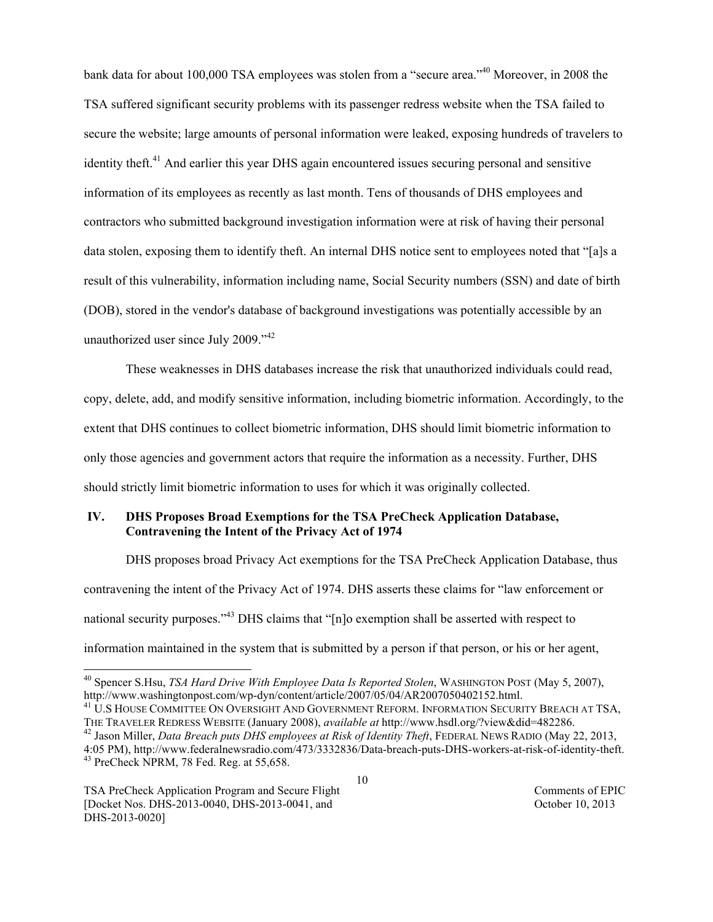bank data for about 100,000 TSA employees was stolen from a "secure area."<sup>40</sup> Moreover, in 2008 the TSA suffered significant security problems with its passenger redress website when the TSA failed to secure the website; large amounts of personal information were leaked, exposing hundreds of travelers to identity theft.<sup>41</sup> And earlier this year DHS again encountered issues securing personal and sensitive information of its employees as recently as last month. Tens of thousands of DHS employees and contractors who submitted background investigation information were at risk of having their personal data stolen, exposing them to identify theft. An internal DHS notice sent to employees noted that "[a]s a result of this vulnerability, information including name, Social Security numbers (SSN) and date of birth (DOB), stored in the vendor's database of background investigations was potentially accessible by an unauthorized user since July 2009."<sup>42</sup>

These weaknesses in DHS databases increase the risk that unauthorized individuals could read, copy, delete, add, and modify sensitive information, including biometric information. Accordingly, to the extent that DHS continues to collect biometric information, DHS should limit biometric information to only those agencies and government actors that require the information as a necessity. Further, DHS should strictly limit biometric information to uses for which it was originally collected.

### **IV. DHS Proposes Broad Exemptions for the TSA PreCheck Application Database, Contravening the Intent of the Privacy Act of 1974**

DHS proposes broad Privacy Act exemptions for the TSA PreCheck Application Database, thus contravening the intent of the Privacy Act of 1974. DHS asserts these claims for "law enforcement or national security purposes."<sup>43</sup> DHS claims that "[n]o exemption shall be asserted with respect to information maintained in the system that is submitted by a person if that person, or his or her agent,

<sup>&</sup>lt;sup>40</sup> Spencer S.Hsu, *TSA Hard Drive With Employee Data Is Reported Stolen*, WASHINGTON POST (May 5, 2007), http://www.washingtonpost.com/wp-dyn/content/article/2007/05/04/AR2007050402152.html.

<sup>&</sup>lt;sup>41</sup> U.S HOUSE COMMITTEE ON OVERSIGHT AND GOVERNMENT REFORM. INFORMATION SECURITY BREACH AT TSA,

THE TRAVELER REDRESS WEBSITE (January 2008), *available at* http://www.hsdl.org/?view&did=482286. 42 Jason Miller, *Data Breach puts DHS employees at Risk of Identity Theft*, FEDERAL NEWS RADIO (May 22, 2013, 4:05 PM), http://www.federalnewsradio.com/473/3332836/Data-breach-puts-DHS-workers-at-risk-of-identity-theft. 43 PreCheck NPRM, 78 Fed. Reg. at 55,658.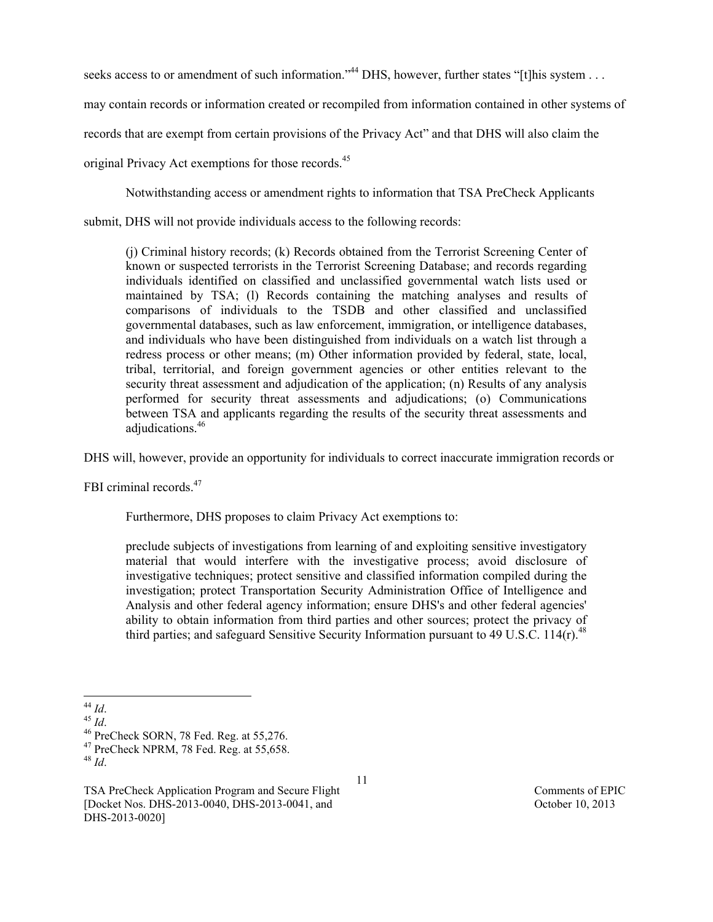seeks access to or amendment of such information."<sup>44</sup> DHS, however, further states "[t]his system . . . .

may contain records or information created or recompiled from information contained in other systems of

records that are exempt from certain provisions of the Privacy Act" and that DHS will also claim the

original Privacy Act exemptions for those records.<sup>45</sup>

Notwithstanding access or amendment rights to information that TSA PreCheck Applicants

submit, DHS will not provide individuals access to the following records:

(j) Criminal history records; (k) Records obtained from the Terrorist Screening Center of known or suspected terrorists in the Terrorist Screening Database; and records regarding individuals identified on classified and unclassified governmental watch lists used or maintained by TSA; (l) Records containing the matching analyses and results of comparisons of individuals to the TSDB and other classified and unclassified governmental databases, such as law enforcement, immigration, or intelligence databases, and individuals who have been distinguished from individuals on a watch list through a redress process or other means; (m) Other information provided by federal, state, local, tribal, territorial, and foreign government agencies or other entities relevant to the security threat assessment and adjudication of the application; (n) Results of any analysis performed for security threat assessments and adjudications; (o) Communications between TSA and applicants regarding the results of the security threat assessments and adjudications.<sup>46</sup>

DHS will, however, provide an opportunity for individuals to correct inaccurate immigration records or

FBI criminal records.<sup>47</sup>

Furthermore, DHS proposes to claim Privacy Act exemptions to:

preclude subjects of investigations from learning of and exploiting sensitive investigatory material that would interfere with the investigative process; avoid disclosure of investigative techniques; protect sensitive and classified information compiled during the investigation; protect Transportation Security Administration Office of Intelligence and Analysis and other federal agency information; ensure DHS's and other federal agencies' ability to obtain information from third parties and other sources; protect the privacy of third parties; and safeguard Sensitive Security Information pursuant to 49 U.S.C.  $114(r)$ .<sup>48</sup>

<sup>44</sup> *Id.*<br><sup>45</sup> *Id.* 46 PreCheck SORN, 78 Fed. Reg. at 55,276.<br><sup>47</sup> PreCheck NPRM, 78 Fed. Reg. at 55,658.<br><sup>48</sup> *Id.* 

TSA PreCheck Application Program and Secure Flight Comments of EPIC [Docket Nos. DHS-2013-0040, DHS-2013-0041, and October 10, 2013 DHS-2013-0020]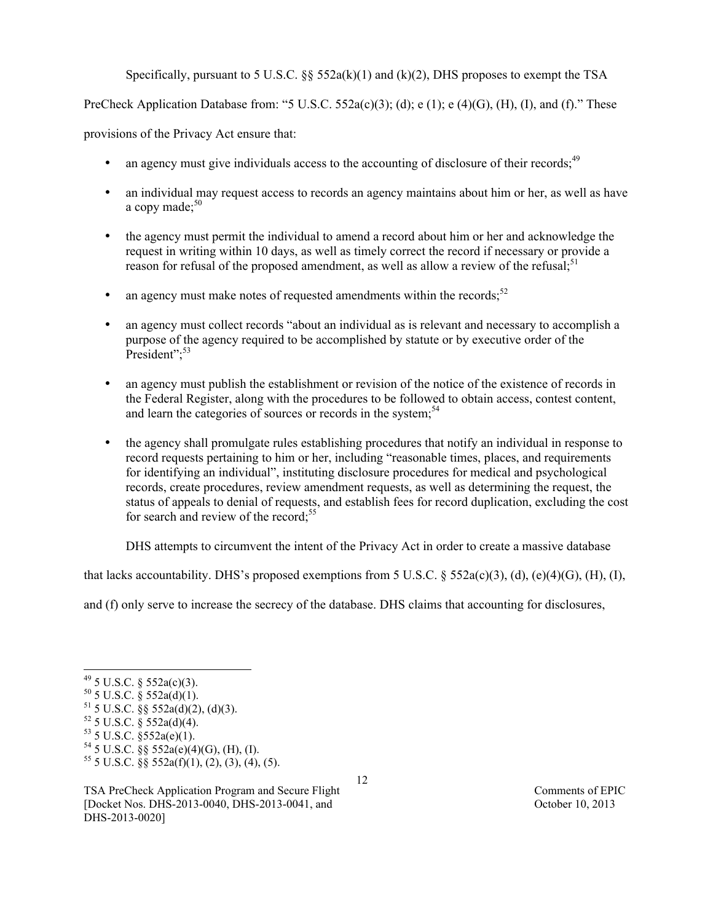Specifically, pursuant to 5 U.S.C.  $\S$  552a(k)(1) and (k)(2), DHS proposes to exempt the TSA

PreCheck Application Database from: "5 U.S.C. 552a(c)(3); (d); e (1); e (4)(G), (H), (I), and (f)." These

provisions of the Privacy Act ensure that:

- an agency must give individuals access to the accounting of disclosure of their records;<sup>49</sup>
- an individual may request access to records an agency maintains about him or her, as well as have a copy made; 50
- the agency must permit the individual to amend a record about him or her and acknowledge the request in writing within 10 days, as well as timely correct the record if necessary or provide a reason for refusal of the proposed amendment, as well as allow a review of the refusal;<sup>51</sup>
- an agency must make notes of requested amendments within the records; $52$
- an agency must collect records "about an individual as is relevant and necessary to accomplish a purpose of the agency required to be accomplished by statute or by executive order of the President";<sup>53</sup>
- an agency must publish the establishment or revision of the notice of the existence of records in the Federal Register, along with the procedures to be followed to obtain access, contest content, and learn the categories of sources or records in the system;<sup>54</sup>
- the agency shall promulgate rules establishing procedures that notify an individual in response to record requests pertaining to him or her, including "reasonable times, places, and requirements for identifying an individual", instituting disclosure procedures for medical and psychological records, create procedures, review amendment requests, as well as determining the request, the status of appeals to denial of requests, and establish fees for record duplication, excluding the cost for search and review of the record;<sup>55</sup>

DHS attempts to circumvent the intent of the Privacy Act in order to create a massive database

that lacks accountability. DHS's proposed exemptions from 5 U.S.C. § 552a(c)(3), (d), (e)(4)(G), (H), (I),

12

and (f) only serve to increase the secrecy of the database. DHS claims that accounting for disclosures,

 $53$  5 U.S.C. §552a(e)(1).

 $^{49}$  5 U.S.C. § 552a(c)(3).

 $50$  5 U.S.C. § 552a(d)(1).

 $51$  5 U.S.C. §§ 552a(d)(2), (d)(3).

 $52$  5 U.S.C. § 552a(d)(4).

 $54$  5 U.S.C. §§ 552a(e)(4)(G), (H), (I).

 $55$  5 U.S.C. §§  $552a(f)(1)$ , (2), (3), (4), (5).

TSA PreCheck Application Program and Secure Flight Comments of EPIC [Docket Nos. DHS-2013-0040, DHS-2013-0041, and October 10, 2013 DHS-2013-0020]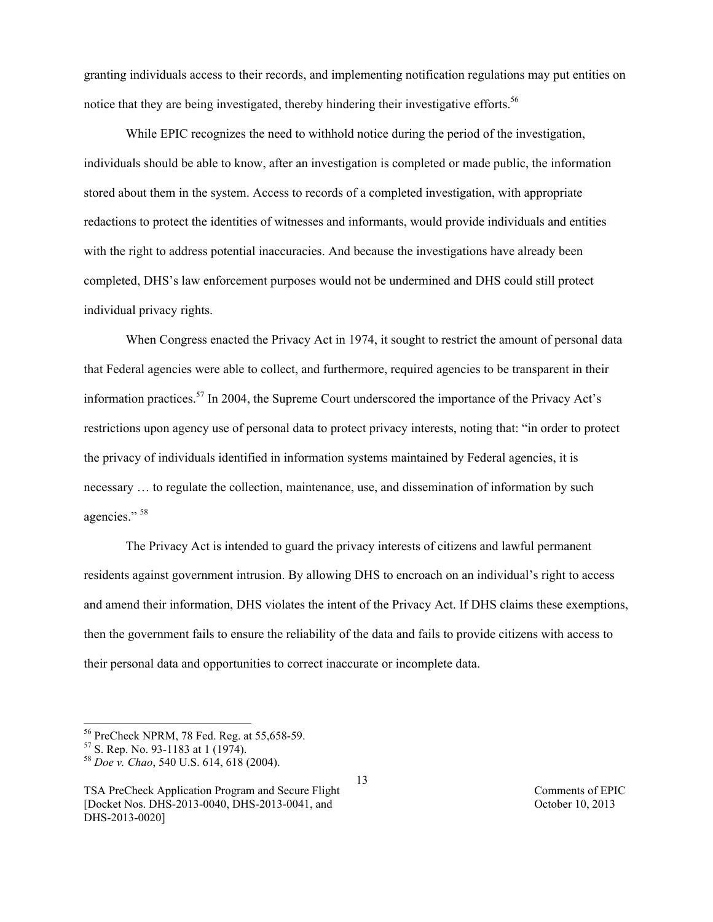granting individuals access to their records, and implementing notification regulations may put entities on notice that they are being investigated, thereby hindering their investigative efforts.<sup>56</sup>

While EPIC recognizes the need to withhold notice during the period of the investigation, individuals should be able to know, after an investigation is completed or made public, the information stored about them in the system. Access to records of a completed investigation, with appropriate redactions to protect the identities of witnesses and informants, would provide individuals and entities with the right to address potential inaccuracies. And because the investigations have already been completed, DHS's law enforcement purposes would not be undermined and DHS could still protect individual privacy rights.

When Congress enacted the Privacy Act in 1974, it sought to restrict the amount of personal data that Federal agencies were able to collect, and furthermore, required agencies to be transparent in their information practices.57 In 2004, the Supreme Court underscored the importance of the Privacy Act's restrictions upon agency use of personal data to protect privacy interests, noting that: "in order to protect the privacy of individuals identified in information systems maintained by Federal agencies, it is necessary … to regulate the collection, maintenance, use, and dissemination of information by such agencies." 58

The Privacy Act is intended to guard the privacy interests of citizens and lawful permanent residents against government intrusion. By allowing DHS to encroach on an individual's right to access and amend their information, DHS violates the intent of the Privacy Act. If DHS claims these exemptions, then the government fails to ensure the reliability of the data and fails to provide citizens with access to their personal data and opportunities to correct inaccurate or incomplete data.

 <sup>56</sup> PreCheck NPRM, 78 Fed. Reg. at 55,658-59. 57 S. Rep. No. 93-1183 at 1 (1974). 58 *Doe v. Chao*, 540 U.S. 614, 618 (2004).

TSA PreCheck Application Program and Secure Flight Comments of EPIC [Docket Nos. DHS-2013-0040, DHS-2013-0041, and October 10, 2013 DHS-2013-0020]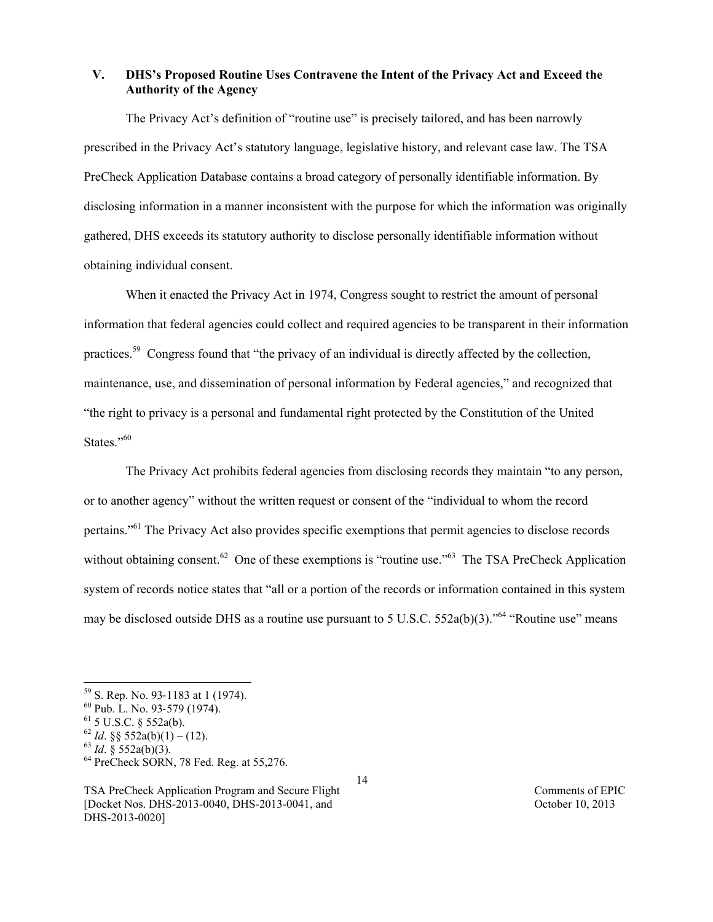# **V. DHS's Proposed Routine Uses Contravene the Intent of the Privacy Act and Exceed the Authority of the Agency**

The Privacy Act's definition of "routine use" is precisely tailored, and has been narrowly prescribed in the Privacy Act's statutory language, legislative history, and relevant case law. The TSA PreCheck Application Database contains a broad category of personally identifiable information. By disclosing information in a manner inconsistent with the purpose for which the information was originally gathered, DHS exceeds its statutory authority to disclose personally identifiable information without obtaining individual consent.

When it enacted the Privacy Act in 1974, Congress sought to restrict the amount of personal information that federal agencies could collect and required agencies to be transparent in their information practices.59 Congress found that "the privacy of an individual is directly affected by the collection, maintenance, use, and dissemination of personal information by Federal agencies," and recognized that "the right to privacy is a personal and fundamental right protected by the Constitution of the United States."60

The Privacy Act prohibits federal agencies from disclosing records they maintain "to any person, or to another agency" without the written request or consent of the "individual to whom the record pertains."<sup>61</sup> The Privacy Act also provides specific exemptions that permit agencies to disclose records without obtaining consent.<sup>62</sup> One of these exemptions is "routine use."<sup>63</sup> The TSA PreCheck Application system of records notice states that "all or a portion of the records or information contained in this system may be disclosed outside DHS as a routine use pursuant to 5 U.S.C. 552a(b)(3).<sup>564</sup> "Routine use" means

 $59$  S. Rep. No. 93-1183 at 1 (1974).

 $^{60}$  Pub. L. No. 93-579 (1974).<br><sup>61</sup> 5 U.S.C. § 552a(b).

<sup>&</sup>lt;sup>62</sup> *Id.* §§ 552a(b)(1) – (12).<br><sup>63</sup> *Id.* § 552a(b)(3).<br><sup>64</sup> PreCheck SORN, 78 Fed. Reg. at 55,276.

TSA PreCheck Application Program and Secure Flight Comments of EPIC [Docket Nos. DHS-2013-0040, DHS-2013-0041, and October 10, 2013 DHS-2013-0020]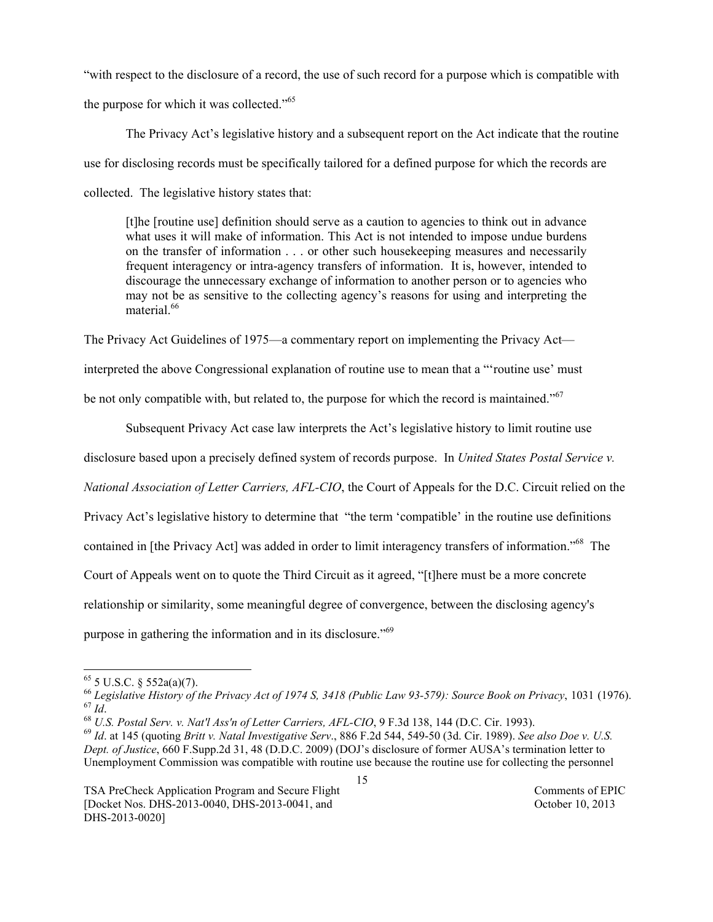"with respect to the disclosure of a record, the use of such record for a purpose which is compatible with the purpose for which it was collected."<sup>65</sup>

The Privacy Act's legislative history and a subsequent report on the Act indicate that the routine use for disclosing records must be specifically tailored for a defined purpose for which the records are collected. The legislative history states that:

[t]he [routine use] definition should serve as a caution to agencies to think out in advance what uses it will make of information. This Act is not intended to impose undue burdens on the transfer of information . . . or other such housekeeping measures and necessarily frequent interagency or intra-agency transfers of information. It is, however, intended to discourage the unnecessary exchange of information to another person or to agencies who may not be as sensitive to the collecting agency's reasons for using and interpreting the material<sup>66</sup>

The Privacy Act Guidelines of 1975—a commentary report on implementing the Privacy Act interpreted the above Congressional explanation of routine use to mean that a "'routine use' must be not only compatible with, but related to, the purpose for which the record is maintained."<sup>67</sup>

Subsequent Privacy Act case law interprets the Act's legislative history to limit routine use

disclosure based upon a precisely defined system of records purpose. In *United States Postal Service v.* 

*National Association of Letter Carriers, AFL-CIO*, the Court of Appeals for the D.C. Circuit relied on the

Privacy Act's legislative history to determine that "the term 'compatible' in the routine use definitions

contained in [the Privacy Act] was added in order to limit interagency transfers of information."68 The

Court of Appeals went on to quote the Third Circuit as it agreed, "[t]here must be a more concrete

relationship or similarity, some meaningful degree of convergence, between the disclosing agency's

purpose in gathering the information and in its disclosure."<sup>69</sup>

 $65$  5 U.S.C. § 552a(a)(7).

<sup>&</sup>lt;sup>66</sup> Legislative History of the Privacy Act of 1974 S, 3418 (Public Law 93-579): Source Book on Privacy, 1031 (1976).<br><sup>67</sup> Id.<br><sup>68</sup> U.S. Postal Serv. v. Nat'l Ass'n of Letter Carriers, AFL-CIO, 9 F.3d 138, 144 (D.C. Cir.

*Dept. of Justice*, 660 F.Supp.2d 31, 48 (D.D.C. 2009) (DOJ's disclosure of former AUSA's termination letter to Unemployment Commission was compatible with routine use because the routine use for collecting the personnel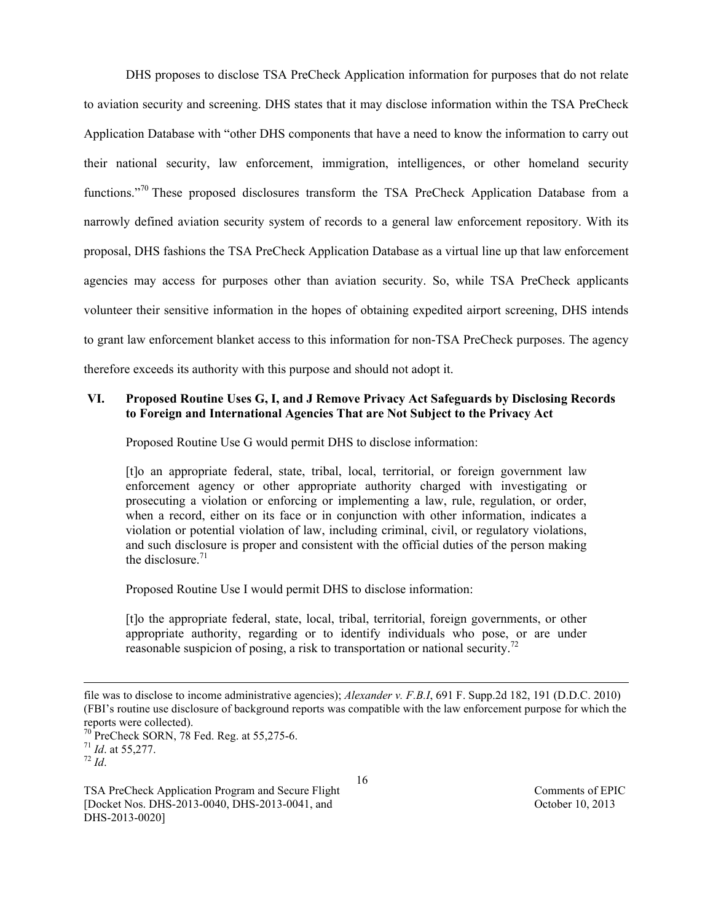DHS proposes to disclose TSA PreCheck Application information for purposes that do not relate to aviation security and screening. DHS states that it may disclose information within the TSA PreCheck Application Database with "other DHS components that have a need to know the information to carry out their national security, law enforcement, immigration, intelligences, or other homeland security functions."<sup>70</sup> These proposed disclosures transform the TSA PreCheck Application Database from a narrowly defined aviation security system of records to a general law enforcement repository. With its proposal, DHS fashions the TSA PreCheck Application Database as a virtual line up that law enforcement agencies may access for purposes other than aviation security. So, while TSA PreCheck applicants volunteer their sensitive information in the hopes of obtaining expedited airport screening, DHS intends to grant law enforcement blanket access to this information for non-TSA PreCheck purposes. The agency therefore exceeds its authority with this purpose and should not adopt it.

## **VI. Proposed Routine Uses G, I, and J Remove Privacy Act Safeguards by Disclosing Records to Foreign and International Agencies That are Not Subject to the Privacy Act**

Proposed Routine Use G would permit DHS to disclose information:

[t]o an appropriate federal, state, tribal, local, territorial, or foreign government law enforcement agency or other appropriate authority charged with investigating or prosecuting a violation or enforcing or implementing a law, rule, regulation, or order, when a record, either on its face or in conjunction with other information, indicates a violation or potential violation of law, including criminal, civil, or regulatory violations, and such disclosure is proper and consistent with the official duties of the person making the disclosure  $71$ 

Proposed Routine Use I would permit DHS to disclose information:

[t]o the appropriate federal, state, local, tribal, territorial, foreign governments, or other appropriate authority, regarding or to identify individuals who pose, or are under reasonable suspicion of posing, a risk to transportation or national security.<sup>72</sup>

l

file was to disclose to income administrative agencies); *Alexander v. F.B.I*, 691 F. Supp.2d 182, 191 (D.D.C. 2010) (FBI's routine use disclosure of background reports was compatible with the law enforcement purpose for which the reports were collected).

<sup>&</sup>lt;sup>70</sup> PreCheck SORN, 78 Fed. Reg. at 55,275-6.<br><sup>71</sup> *Id.* at 55,277.<br><sup>72</sup> *Id.* 

TSA PreCheck Application Program and Secure Flight Comments of EPIC [Docket Nos. DHS-2013-0040, DHS-2013-0041, and October 10, 2013 DHS-2013-0020]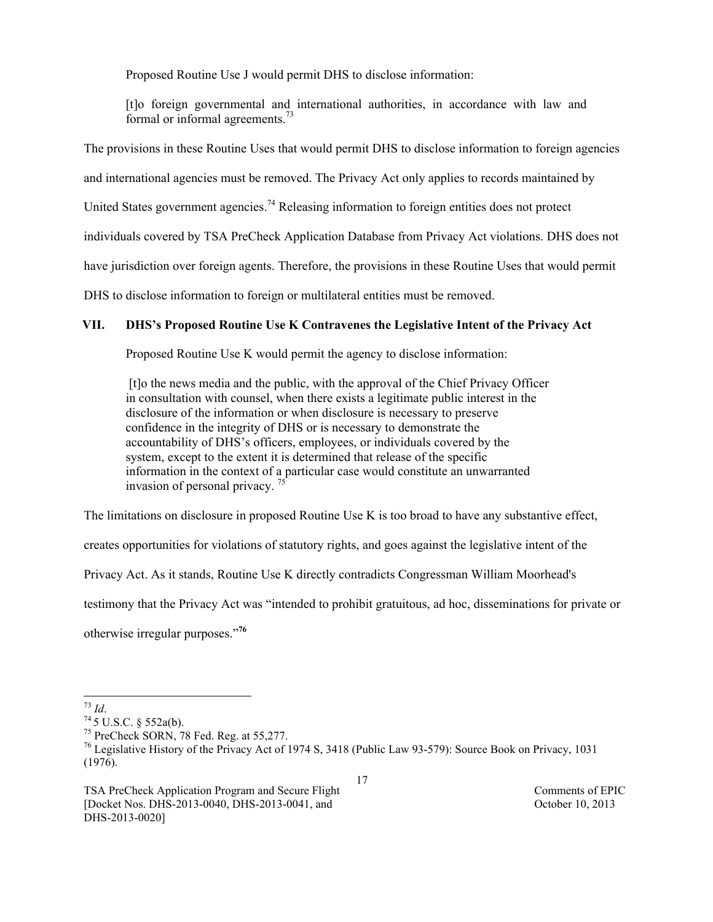Proposed Routine Use J would permit DHS to disclose information:

[t]o foreign governmental and international authorities, in accordance with law and formal or informal agreements.<sup>73</sup>

The provisions in these Routine Uses that would permit DHS to disclose information to foreign agencies

and international agencies must be removed. The Privacy Act only applies to records maintained by

United States government agencies.<sup>74</sup> Releasing information to foreign entities does not protect

individuals covered by TSA PreCheck Application Database from Privacy Act violations. DHS does not

have jurisdiction over foreign agents. Therefore, the provisions in these Routine Uses that would permit

DHS to disclose information to foreign or multilateral entities must be removed.

### **VII. DHS's Proposed Routine Use K Contravenes the Legislative Intent of the Privacy Act**

Proposed Routine Use K would permit the agency to disclose information:

[t]o the news media and the public, with the approval of the Chief Privacy Officer in consultation with counsel, when there exists a legitimate public interest in the disclosure of the information or when disclosure is necessary to preserve confidence in the integrity of DHS or is necessary to demonstrate the accountability of DHS's officers, employees, or individuals covered by the system, except to the extent it is determined that release of the specific information in the context of a particular case would constitute an unwarranted invasion of personal privacy.  $7\frac{1}{5}$ 

The limitations on disclosure in proposed Routine Use K is too broad to have any substantive effect,

creates opportunities for violations of statutory rights, and goes against the legislative intent of the

Privacy Act. As it stands, Routine Use K directly contradicts Congressman William Moorhead's

testimony that the Privacy Act was "intended to prohibit gratuitous, ad hoc, disseminations for private or

otherwise irregular purposes."**<sup>76</sup>**

<sup>73</sup> *Id*. <sup>74</sup> 5 U.S.C. § 552a(b). 75 PreCheck SORN, 78 Fed. Reg. at 55,277.

<sup>&</sup>lt;sup>76</sup> Legislative History of the Privacy Act of 1974 S, 3418 (Public Law 93-579): Source Book on Privacy, 1031 (1976).